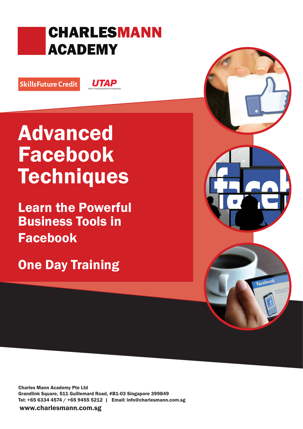# CHARLESMANN ACADEMY

SkillsFuture Credit

**UTAP** 

# Advanced Facebook **Techniques**

Learn the Powerful Business Tools in Facebook

One Day Training

ceboo

Charles Mann Academy Pte Ltd Grandlink Square, 511 Guillemard Road, #B1-03 Singapore 399849 Tel: +65 6334 4574 / +65 9455 5212 | Email: info@charlesmann.com.sg

www.charlesmann.com.sg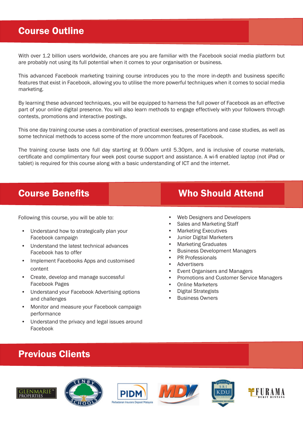#### Course Outline

With over 1.2 billion users worldwide, chances are you are familiar with the Facebook social media platform but are probably not using its full potential when it comes to your organisation or business.

This advanced Facebook marketing training course introduces you to the more in-depth and business specific features that exist in Facebook, allowing you to utilise the more powerful techniques when it comes to social media marketing.

By learning these advanced techniques, you will be equipped to harness the full power of Facebook as an effective part of your online digital presence. You will also learn methods to engage effectively with your followers through contests, promotions and interactive postings.

This one day training course uses a combination of practical exercises, presentations and case studies, as well as some technical methods to access some of the more uncommon features of Facebook.

The training course lasts one full day starting at 9.00am until 5.30pm, and is inclusive of course materials, certificate and complimentary four week post course support and assistance. A wi-fi enabled laptop (not iPad or tablet) is required for this course along with a basic understanding of ICT and the internet.

Following this course, you will be able to:

- Understand how to strategically plan your Facebook campaign
- Understand the latest technical advances Facebook has to offer
- Implement Facebooks Apps and customised content
- Create, develop and manage successful Facebook Pages
- Understand your Facebook Advertising options and challenges
- Monitor and measure your Facebook campaign performance
- Understand the privacy and legal issues around Facebook

#### **Course Benefits Course Benefits** Who Should Attend

- Web Designers and Developers
- Sales and Marketing Staff
- Marketing Executives
- Junior Digital Marketers
- Marketing Graduates
- Business Development Managers
- PR Professionals
- **Advertisers**
- Event Organisers and Managers
- Promotions and Customer Service Managers
- Online Marketers
- Digital Strategists
- **Business Owners**

#### Previous Clients









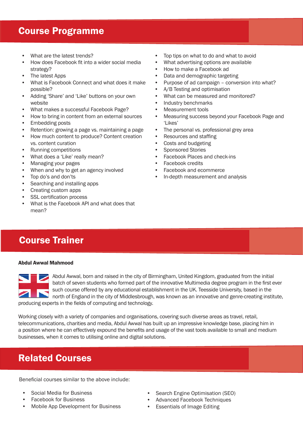#### Course Programme

- What are the latest trends?
- How does Facebook fit into a wider social media strategy?
- The latest Apps
- What is Facebook Connect and what does it make possible?
- Adding 'Share' and 'Like' buttons on your own website
- What makes a successful Facebook Page?
- How to bring in content from an external sources
- Embedding posts
- Retention: growing a page vs. maintaining a page
- How much content to produce? Content creation vs. content curation
- Running competitions
- What does a 'Like' really mean?
- Managing your pages
- When and why to get an agency involved
- Top do's and don'ts
- Searching and installing apps
- Creating custom apps
- SSL certification process
- What is the Facebook API and what does that mean?
- Top tips on what to do and what to avoid
- What advertising options are available
- How to make a Facebook ad
- Data and demographic targeting
- Purpose of ad campaign conversion into what?
- A/B Testing and optimisation
- What can be measured and monitored?
- Industry benchmarks
- Measurement tools
- Measuring success beyond your Facebook Page and 'Likes'
- The personal vs. professional grey area
- Resources and staffing
- Costs and budgeting
- Sponsored Stories
- Facebook Places and check-ins
- **Facebook credits**
- Facebook and ecommerce
- In-depth measurement and analysis

## Course Trainer

#### Abdul Awwal Mahmood

Abdul Awwal, born and raised in the city of Birmingham, United Kingdom, graduated from the initial batch of seven students who formed part of the innovative Multimedia degree program in the first ever such course offered by any educational establishment in the UK. Teesside University, based in the north of England in the city of Middlesbrough, was known as an innovative and genre-creating institute, producing experts in the fields of computing and technology.

Working closely with a variety of companies and organisations, covering such diverse areas as travel, retail, telecommunications, charities and media, Abdul Awwal has built up an impressive knowledge base, placing him in a position where he can effectively expound the benefits and usage of the vast tools available to small and medium businesses, when it comes to utilising online and digital solutions.

## Related Courses

Beneficial courses similar to the above include:

- Social Media for Business
- Facebook for Business
- Mobile App Development for Business
- Search Engine Optimisation (SEO)
- Advanced Facebook Techniques
- Essentials of Image Editing